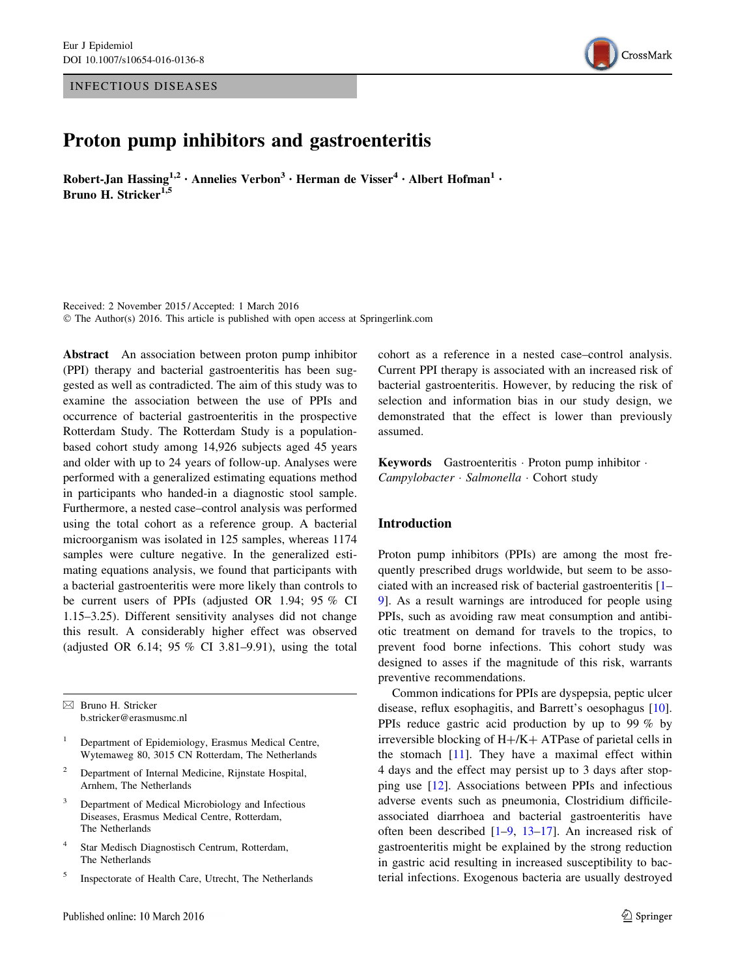#### INFECTIOUS DISEASES



# Proton pump inhibitors and gastroenteritis

Robert-Jan Hassing<sup>1,2</sup> · Annelies Verbon<sup>3</sup> · Herman de Visser<sup>4</sup> · Albert Hofman<sup>1</sup> · Bruno H. Stricker<sup>1,5</sup>

Received: 2 November 2015 / Accepted: 1 March 2016 © The Author(s) 2016. This article is published with open access at Springerlink.com

Abstract An association between proton pump inhibitor (PPI) therapy and bacterial gastroenteritis has been suggested as well as contradicted. The aim of this study was to examine the association between the use of PPIs and occurrence of bacterial gastroenteritis in the prospective Rotterdam Study. The Rotterdam Study is a populationbased cohort study among 14,926 subjects aged 45 years and older with up to 24 years of follow-up. Analyses were performed with a generalized estimating equations method in participants who handed-in a diagnostic stool sample. Furthermore, a nested case–control analysis was performed using the total cohort as a reference group. A bacterial microorganism was isolated in 125 samples, whereas 1174 samples were culture negative. In the generalized estimating equations analysis, we found that participants with a bacterial gastroenteritis were more likely than controls to be current users of PPIs (adjusted OR 1.94; 95 % CI 1.15–3.25). Different sensitivity analyses did not change this result. A considerably higher effect was observed (adjusted OR 6.14; 95 % CI 3.81–9.91), using the total

 $\boxtimes$  Bruno H. Stricker b.stricker@erasmusmc.nl

- <sup>1</sup> Department of Epidemiology, Erasmus Medical Centre, Wytemaweg 80, 3015 CN Rotterdam, The Netherlands
- <sup>2</sup> Department of Internal Medicine, Rijnstate Hospital, Arnhem, The Netherlands
- <sup>3</sup> Department of Medical Microbiology and Infectious Diseases, Erasmus Medical Centre, Rotterdam, The Netherlands
- <sup>4</sup> Star Medisch Diagnostisch Centrum, Rotterdam, The Netherlands
- <sup>5</sup> Inspectorate of Health Care, Utrecht, The Netherlands

cohort as a reference in a nested case–control analysis. Current PPI therapy is associated with an increased risk of bacterial gastroenteritis. However, by reducing the risk of selection and information bias in our study design, we demonstrated that the effect is lower than previously assumed.

Keywords Gastroenteritis · Proton pump inhibitor · Campylobacter · Salmonella · Cohort study

## Introduction

Proton pump inhibitors (PPIs) are among the most frequently prescribed drugs worldwide, but seem to be associated with an increased risk of bacterial gastroenteritis [\[1](#page-6-0)– [9](#page-6-0)]. As a result warnings are introduced for people using PPIs, such as avoiding raw meat consumption and antibiotic treatment on demand for travels to the tropics, to prevent food borne infections. This cohort study was designed to asses if the magnitude of this risk, warrants preventive recommendations.

Common indications for PPIs are dyspepsia, peptic ulcer disease, reflux esophagitis, and Barrett's oesophagus [\[10](#page-6-0)]. PPIs reduce gastric acid production by up to 99 % by irreversible blocking of  $H + / K +$  ATPase of parietal cells in the stomach  $[11]$  $[11]$ . They have a maximal effect within 4 days and the effect may persist up to 3 days after stopping use [[12](#page-6-0)]. Associations between PPIs and infectious adverse events such as pneumonia, Clostridium difficileassociated diarrhoea and bacterial gastroenteritis have often been described [[1–9,](#page-6-0) [13–17](#page-6-0)]. An increased risk of gastroenteritis might be explained by the strong reduction in gastric acid resulting in increased susceptibility to bacterial infections. Exogenous bacteria are usually destroyed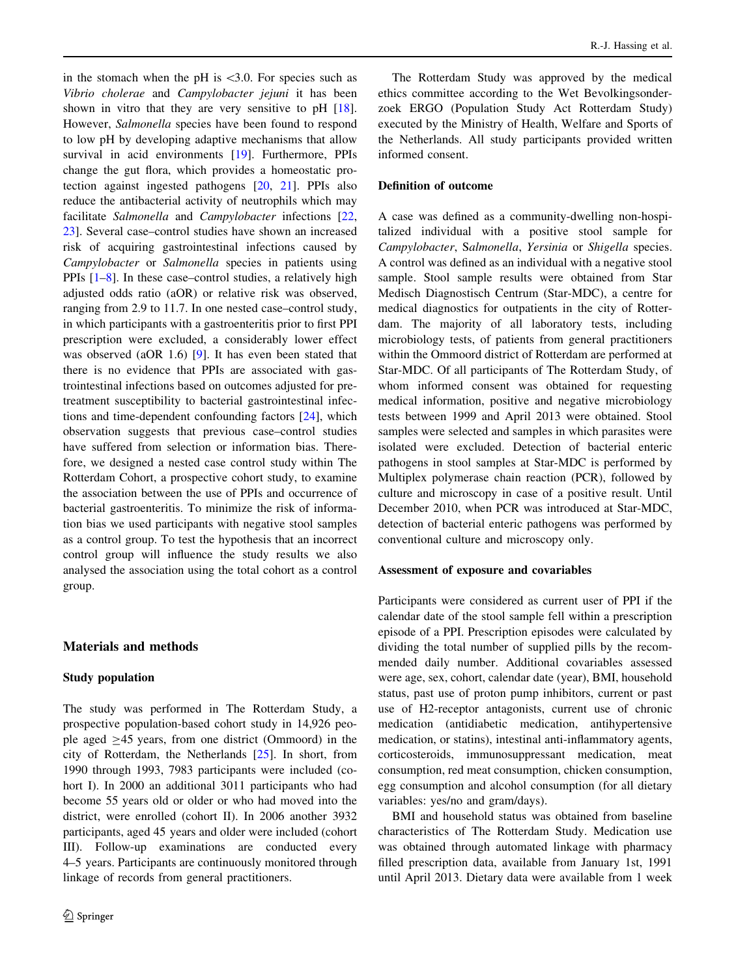in the stomach when the pH is  $\lt 3.0$ . For species such as Vibrio cholerae and Campylobacter jejuni it has been shown in vitro that they are very sensitive to pH [\[18](#page-6-0)]. However, Salmonella species have been found to respond to low pH by developing adaptive mechanisms that allow survival in acid environments [\[19](#page-6-0)]. Furthermore, PPIs change the gut flora, which provides a homeostatic protection against ingested pathogens [\[20](#page-6-0), [21\]](#page-6-0). PPIs also reduce the antibacterial activity of neutrophils which may facilitate Salmonella and Campylobacter infections [[22,](#page-6-0) [23\]](#page-6-0). Several case–control studies have shown an increased risk of acquiring gastrointestinal infections caused by Campylobacter or Salmonella species in patients using PPIs [[1–8\]](#page-6-0). In these case–control studies, a relatively high adjusted odds ratio (aOR) or relative risk was observed, ranging from 2.9 to 11.7. In one nested case–control study, in which participants with a gastroenteritis prior to first PPI prescription were excluded, a considerably lower effect was observed (aOR 1.6) [\[9](#page-6-0)]. It has even been stated that there is no evidence that PPIs are associated with gastrointestinal infections based on outcomes adjusted for pretreatment susceptibility to bacterial gastrointestinal infections and time-dependent confounding factors [\[24](#page-6-0)], which observation suggests that previous case–control studies have suffered from selection or information bias. Therefore, we designed a nested case control study within The Rotterdam Cohort, a prospective cohort study, to examine the association between the use of PPIs and occurrence of bacterial gastroenteritis. To minimize the risk of information bias we used participants with negative stool samples as a control group. To test the hypothesis that an incorrect control group will influence the study results we also analysed the association using the total cohort as a control group.

# Materials and methods

# Study population

The study was performed in The Rotterdam Study, a prospective population-based cohort study in 14,926 people aged  $\geq$ 45 years, from one district (Ommoord) in the city of Rotterdam, the Netherlands [\[25](#page-6-0)]. In short, from 1990 through 1993, 7983 participants were included (cohort I). In 2000 an additional 3011 participants who had become 55 years old or older or who had moved into the district, were enrolled (cohort II). In 2006 another 3932 participants, aged 45 years and older were included (cohort III). Follow-up examinations are conducted every 4–5 years. Participants are continuously monitored through linkage of records from general practitioners.

The Rotterdam Study was approved by the medical ethics committee according to the Wet Bevolkingsonderzoek ERGO (Population Study Act Rotterdam Study) executed by the Ministry of Health, Welfare and Sports of the Netherlands. All study participants provided written informed consent.

## Definition of outcome

A case was defined as a community-dwelling non-hospitalized individual with a positive stool sample for Campylobacter, Salmonella, Yersinia or Shigella species. A control was defined as an individual with a negative stool sample. Stool sample results were obtained from Star Medisch Diagnostisch Centrum (Star-MDC), a centre for medical diagnostics for outpatients in the city of Rotterdam. The majority of all laboratory tests, including microbiology tests, of patients from general practitioners within the Ommoord district of Rotterdam are performed at Star-MDC. Of all participants of The Rotterdam Study, of whom informed consent was obtained for requesting medical information, positive and negative microbiology tests between 1999 and April 2013 were obtained. Stool samples were selected and samples in which parasites were isolated were excluded. Detection of bacterial enteric pathogens in stool samples at Star-MDC is performed by Multiplex polymerase chain reaction (PCR), followed by culture and microscopy in case of a positive result. Until December 2010, when PCR was introduced at Star-MDC, detection of bacterial enteric pathogens was performed by conventional culture and microscopy only.

#### Assessment of exposure and covariables

Participants were considered as current user of PPI if the calendar date of the stool sample fell within a prescription episode of a PPI. Prescription episodes were calculated by dividing the total number of supplied pills by the recommended daily number. Additional covariables assessed were age, sex, cohort, calendar date (year), BMI, household status, past use of proton pump inhibitors, current or past use of H2-receptor antagonists, current use of chronic medication (antidiabetic medication, antihypertensive medication, or statins), intestinal anti-inflammatory agents, corticosteroids, immunosuppressant medication, meat consumption, red meat consumption, chicken consumption, egg consumption and alcohol consumption (for all dietary variables: yes/no and gram/days).

BMI and household status was obtained from baseline characteristics of The Rotterdam Study. Medication use was obtained through automated linkage with pharmacy filled prescription data, available from January 1st, 1991 until April 2013. Dietary data were available from 1 week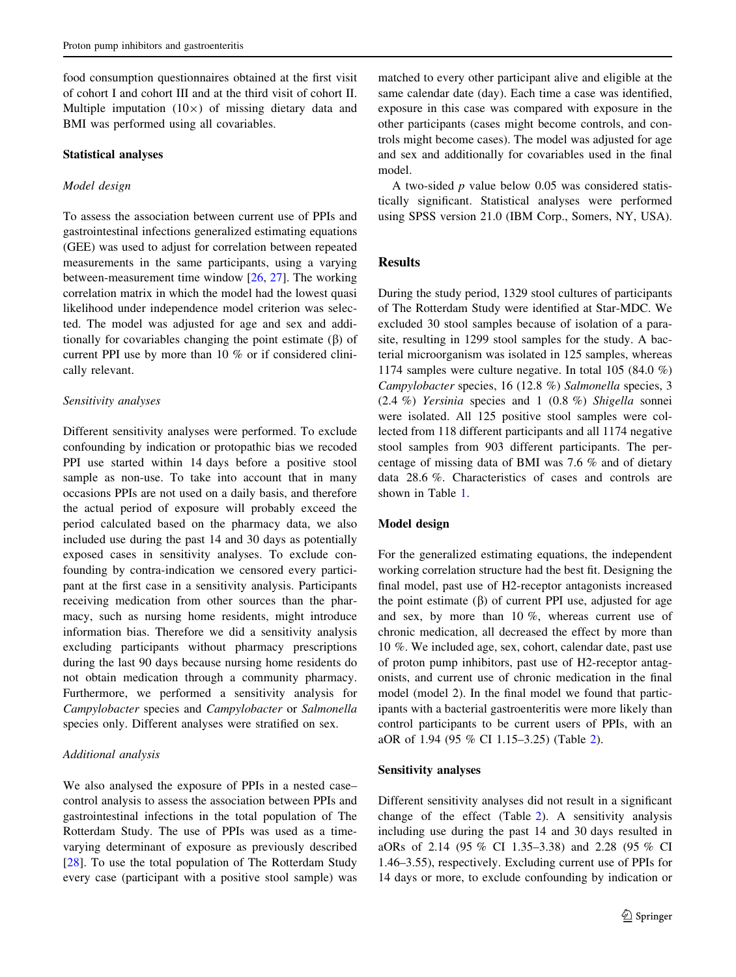food consumption questionnaires obtained at the first visit of cohort I and cohort III and at the third visit of cohort II. Multiple imputation  $(10\times)$  of missing dietary data and BMI was performed using all covariables.

## Statistical analyses

#### Model design

To assess the association between current use of PPIs and gastrointestinal infections generalized estimating equations (GEE) was used to adjust for correlation between repeated measurements in the same participants, using a varying between-measurement time window [\[26](#page-6-0), [27\]](#page-6-0). The working correlation matrix in which the model had the lowest quasi likelihood under independence model criterion was selected. The model was adjusted for age and sex and additionally for covariables changing the point estimate  $(\beta)$  of current PPI use by more than 10 % or if considered clinically relevant.

## Sensitivity analyses

Different sensitivity analyses were performed. To exclude confounding by indication or protopathic bias we recoded PPI use started within 14 days before a positive stool sample as non-use. To take into account that in many occasions PPIs are not used on a daily basis, and therefore the actual period of exposure will probably exceed the period calculated based on the pharmacy data, we also included use during the past 14 and 30 days as potentially exposed cases in sensitivity analyses. To exclude confounding by contra-indication we censored every participant at the first case in a sensitivity analysis. Participants receiving medication from other sources than the pharmacy, such as nursing home residents, might introduce information bias. Therefore we did a sensitivity analysis excluding participants without pharmacy prescriptions during the last 90 days because nursing home residents do not obtain medication through a community pharmacy. Furthermore, we performed a sensitivity analysis for Campylobacter species and Campylobacter or Salmonella species only. Different analyses were stratified on sex.

#### Additional analysis

We also analysed the exposure of PPIs in a nested case– control analysis to assess the association between PPIs and gastrointestinal infections in the total population of The Rotterdam Study. The use of PPIs was used as a timevarying determinant of exposure as previously described [\[28](#page-6-0)]. To use the total population of The Rotterdam Study every case (participant with a positive stool sample) was

matched to every other participant alive and eligible at the same calendar date (day). Each time a case was identified, exposure in this case was compared with exposure in the other participants (cases might become controls, and controls might become cases). The model was adjusted for age and sex and additionally for covariables used in the final model.

A two-sided p value below 0.05 was considered statistically significant. Statistical analyses were performed using SPSS version 21.0 (IBM Corp., Somers, NY, USA).

# Results

During the study period, 1329 stool cultures of participants of The Rotterdam Study were identified at Star-MDC. We excluded 30 stool samples because of isolation of a parasite, resulting in 1299 stool samples for the study. A bacterial microorganism was isolated in 125 samples, whereas 1174 samples were culture negative. In total 105 (84.0 %) Campylobacter species, 16 (12.8 %) Salmonella species, 3 (2.4 %) Yersinia species and 1 (0.8 %) Shigella sonnei were isolated. All 125 positive stool samples were collected from 118 different participants and all 1174 negative stool samples from 903 different participants. The percentage of missing data of BMI was 7.6 % and of dietary data 28.6 %. Characteristics of cases and controls are shown in Table [1.](#page-3-0)

## Model design

For the generalized estimating equations, the independent working correlation structure had the best fit. Designing the final model, past use of H2-receptor antagonists increased the point estimate  $(\beta)$  of current PPI use, adjusted for age and sex, by more than 10 %, whereas current use of chronic medication, all decreased the effect by more than 10 %. We included age, sex, cohort, calendar date, past use of proton pump inhibitors, past use of H2-receptor antagonists, and current use of chronic medication in the final model (model 2). In the final model we found that participants with a bacterial gastroenteritis were more likely than control participants to be current users of PPIs, with an aOR of 1.94 (95 % CI 1.15–3.25) (Table [2\)](#page-4-0).

#### Sensitivity analyses

Different sensitivity analyses did not result in a significant change of the effect (Table [2](#page-4-0)). A sensitivity analysis including use during the past 14 and 30 days resulted in aORs of 2.14 (95 % CI 1.35–3.38) and 2.28 (95 % CI 1.46–3.55), respectively. Excluding current use of PPIs for 14 days or more, to exclude confounding by indication or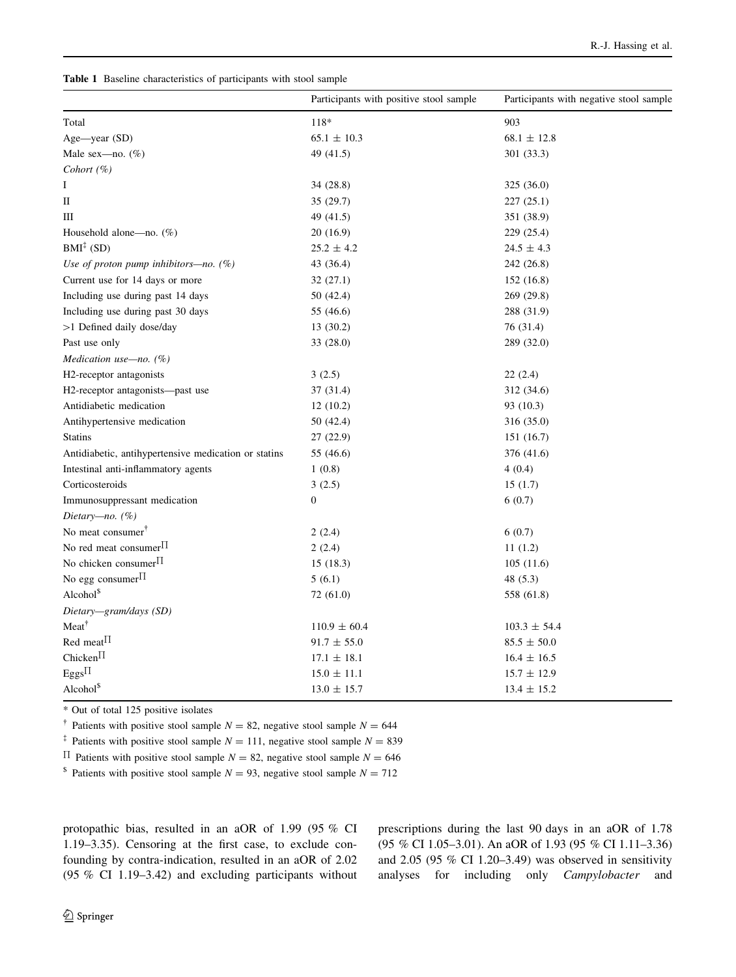<span id="page-3-0"></span>

|  |  | Table 1 Baseline characteristics of participants with stool sample |  |  |  |  |  |
|--|--|--------------------------------------------------------------------|--|--|--|--|--|
|--|--|--------------------------------------------------------------------|--|--|--|--|--|

|                                                      | Participants with positive stool sample | Participants with negative stool sample |
|------------------------------------------------------|-----------------------------------------|-----------------------------------------|
| Total                                                | 118*                                    | 903                                     |
| Age-year (SD)                                        | $65.1 \pm 10.3$                         | $68.1 \pm 12.8$                         |
| Male sex—no. $(\%)$                                  | 49 (41.5)                               | 301 (33.3)                              |
| Cohort $(\% )$                                       |                                         |                                         |
| Ι                                                    | 34 (28.8)                               | 325 (36.0)                              |
| П                                                    | 35(29.7)                                | 227(25.1)                               |
| Ш                                                    | 49 (41.5)                               | 351 (38.9)                              |
| Household alone—no. (%)                              | 20(16.9)                                | 229 (25.4)                              |
| $BM‡$ (SD)                                           | $25.2 \pm 4.2$                          | $24.5 \pm 4.3$                          |
| Use of proton pump inhibitors—no. $(\%)$             | 43 (36.4)                               | 242 (26.8)                              |
| Current use for 14 days or more                      | 32(27.1)                                | 152(16.8)                               |
| Including use during past 14 days                    | 50 (42.4)                               | 269 (29.8)                              |
| Including use during past 30 days                    | 55 (46.6)                               | 288 (31.9)                              |
| >1 Defined daily dose/day                            | 13(30.2)                                | 76 (31.4)                               |
| Past use only                                        | 33 (28.0)                               | 289 (32.0)                              |
| Medication use-no. $(\%)$                            |                                         |                                         |
| H <sub>2</sub> -receptor antagonists                 | 3(2.5)                                  | 22(2.4)                                 |
| H2-receptor antagonists—past use                     | 37 (31.4)                               | 312 (34.6)                              |
| Antidiabetic medication                              | 12(10.2)                                | 93 (10.3)                               |
| Antihypertensive medication                          | 50 (42.4)                               | 316 (35.0)                              |
| <b>Statins</b>                                       | 27(22.9)                                | 151 (16.7)                              |
| Antidiabetic, antihypertensive medication or statins | 55 (46.6)                               | 376 (41.6)                              |
| Intestinal anti-inflammatory agents                  | 1(0.8)                                  | 4(0.4)                                  |
| Corticosteroids                                      | 3(2.5)                                  | 15(1.7)                                 |
| Immunosuppressant medication                         | $\overline{0}$                          | 6(0.7)                                  |
| Dietary-no. $(\%)$                                   |                                         |                                         |
| No meat consumer <sup>†</sup>                        | 2(2.4)                                  | 6(0.7)                                  |
| No red meat consumer <sup>II</sup>                   | 2(2.4)                                  | 11(1.2)                                 |
| No chicken consumer $\Pi$                            | 15(18.3)                                | 105(11.6)                               |
| No egg consumer $\Pi$                                | 5(6.1)                                  | 48 (5.3)                                |
| Alcohol <sup>\$</sup>                                | 72 (61.0)                               | 558 (61.8)                              |
| Dietary-gram/days (SD)                               |                                         |                                         |
| Meat <sup>†</sup>                                    | $110.9 \pm 60.4$                        | $103.3 \pm 54.4$                        |
| Red meat $\Pi$                                       | $91.7 \pm 55.0$                         | $85.5 \pm 50.0$                         |
| Chicken $\Pi$                                        | $17.1 \pm 18.1$                         | $16.4 \pm 16.5$                         |
| $Eggs$ <sup>II</sup>                                 | $15.0 \pm 11.1$                         | $15.7 \pm 12.9$                         |
| Alcohol <sup>\$</sup>                                | $13.0 \pm 15.7$                         | $13.4 \pm 15.2$                         |

\* Out of total 125 positive isolates

<sup>†</sup> Patients with positive stool sample  $N = 82$ , negative stool sample  $N = 644$ 

<sup>‡</sup> Patients with positive stool sample  $N = 111$ , negative stool sample  $N = 839$ 

 $\Pi$  Patients with positive stool sample  $N = 82$ , negative stool sample  $N = 646$ 

<sup>\$</sup> Patients with positive stool sample  $N = 93$ , negative stool sample  $N = 712$ 

protopathic bias, resulted in an aOR of 1.99 (95 % CI 1.19–3.35). Censoring at the first case, to exclude confounding by contra-indication, resulted in an aOR of 2.02 (95 % CI 1.19–3.42) and excluding participants without prescriptions during the last 90 days in an aOR of 1.78 (95 % CI 1.05–3.01). An aOR of 1.93 (95 % CI 1.11–3.36) and 2.05 (95 % CI 1.20–3.49) was observed in sensitivity analyses for including only Campylobacter and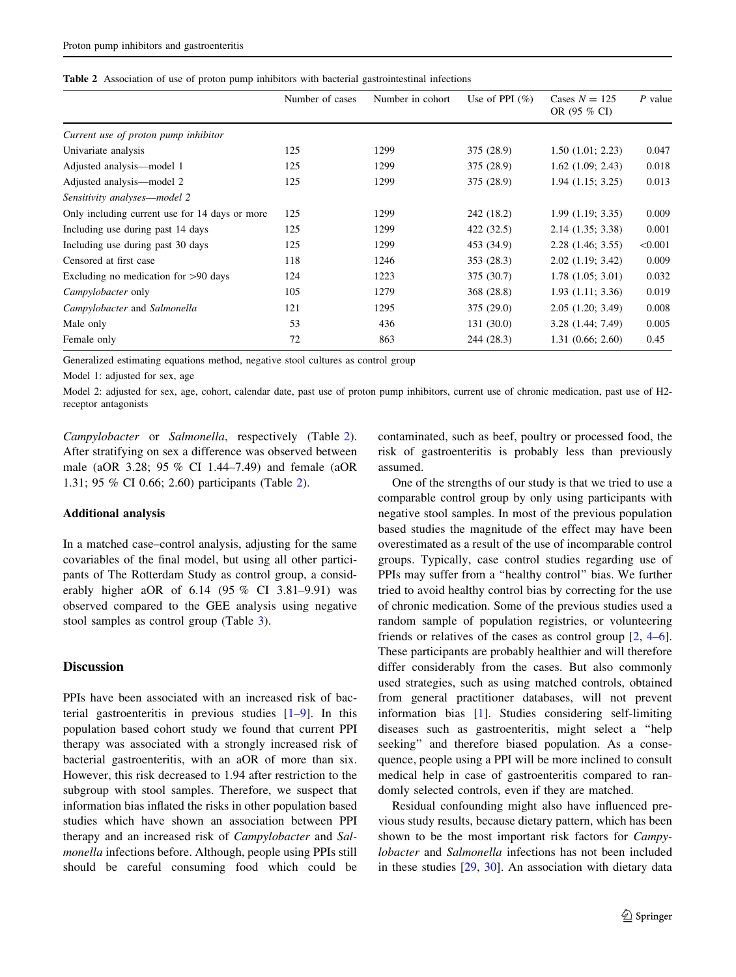<span id="page-4-0"></span>

|  |  |  |  |  |  |  |  | Table 2 Association of use of proton pump inhibitors with bacterial gastrointestinal infections |  |
|--|--|--|--|--|--|--|--|-------------------------------------------------------------------------------------------------|--|
|--|--|--|--|--|--|--|--|-------------------------------------------------------------------------------------------------|--|

|                                                | Number of cases | Number in cohort | Use of PPI $(\% )$ | Cases $N = 125$<br>OR (95 % CI) | $P$ value |
|------------------------------------------------|-----------------|------------------|--------------------|---------------------------------|-----------|
| Current use of proton pump inhibitor           |                 |                  |                    |                                 |           |
| Univariate analysis                            | 125             | 1299             | 375 (28.9)         | 1.50(1.01; 2.23)                | 0.047     |
| Adjusted analysis—model 1                      | 125             | 1299             | 375 (28.9)         | $1.62$ $(1.09; 2.43)$           | 0.018     |
| Adjusted analysis—model 2                      | 125             | 1299             | 375 (28.9)         | 1.94(1.15; 3.25)                | 0.013     |
| Sensitivity analyses—model 2                   |                 |                  |                    |                                 |           |
| Only including current use for 14 days or more | 125             | 1299             | 242 (18.2)         | 1.99(1.19; 3.35)                | 0.009     |
| Including use during past 14 days              | 125             | 1299             | 422 (32.5)         | 2.14(1.35; 3.38)                | 0.001     |
| Including use during past 30 days              | 125             | 1299             | 453 (34.9)         | 2.28(1.46; 3.55)                | < 0.001   |
| Censored at first case                         | 118             | 1246             | 353 (28.3)         | 2.02(1.19; 3.42)                | 0.009     |
| Excluding no medication for $>90$ days         | 124             | 1223             | 375 (30.7)         | 1.78(1.05; 3.01)                | 0.032     |
| Campylobacter only                             | 105             | 1279             | 368 (28.8)         | 1.93(1.11; 3.36)                | 0.019     |
| Campylobacter and Salmonella                   | 121             | 1295             | 375 (29.0)         | 2.05(1.20; 3.49)                | 0.008     |
| Male only                                      | 53              | 436              | 131(30.0)          | 3.28 (1.44; 7.49)               | 0.005     |
| Female only                                    | 72              | 863              | 244 (28.3)         | 1.31(0.66; 2.60)                | 0.45      |

Generalized estimating equations method, negative stool cultures as control group

Model 1: adjusted for sex, age

Model 2: adjusted for sex, age, cohort, calendar date, past use of proton pump inhibitors, current use of chronic medication, past use of H2 receptor antagonists

Campylobacter or Salmonella, respectively (Table 2). After stratifying on sex a difference was observed between male (aOR 3.28; 95 % CI 1.44–7.49) and female (aOR 1.31; 95 % CI 0.66; 2.60) participants (Table 2).

#### Additional analysis

In a matched case–control analysis, adjusting for the same covariables of the final model, but using all other participants of The Rotterdam Study as control group, a considerably higher aOR of 6.14 (95 % CI 3.81–9.91) was observed compared to the GEE analysis using negative stool samples as control group (Table [3\)](#page-5-0).

## **Discussion**

PPIs have been associated with an increased risk of bacterial gastroenteritis in previous studies [\[1–9](#page-6-0)]. In this population based cohort study we found that current PPI therapy was associated with a strongly increased risk of bacterial gastroenteritis, with an aOR of more than six. However, this risk decreased to 1.94 after restriction to the subgroup with stool samples. Therefore, we suspect that information bias inflated the risks in other population based studies which have shown an association between PPI therapy and an increased risk of Campylobacter and Salmonella infections before. Although, people using PPIs still should be careful consuming food which could be contaminated, such as beef, poultry or processed food, the risk of gastroenteritis is probably less than previously assumed.

One of the strengths of our study is that we tried to use a comparable control group by only using participants with negative stool samples. In most of the previous population based studies the magnitude of the effect may have been overestimated as a result of the use of incomparable control groups. Typically, case control studies regarding use of PPIs may suffer from a ''healthy control'' bias. We further tried to avoid healthy control bias by correcting for the use of chronic medication. Some of the previous studies used a random sample of population registries, or volunteering friends or relatives of the cases as control group [[2](#page-6-0), [4–6](#page-6-0)]. These participants are probably healthier and will therefore differ considerably from the cases. But also commonly used strategies, such as using matched controls, obtained from general practitioner databases, will not prevent information bias [[1\]](#page-6-0). Studies considering self-limiting diseases such as gastroenteritis, might select a ''help seeking'' and therefore biased population. As a consequence, people using a PPI will be more inclined to consult medical help in case of gastroenteritis compared to randomly selected controls, even if they are matched.

Residual confounding might also have influenced previous study results, because dietary pattern, which has been shown to be the most important risk factors for Campylobacter and Salmonella infections has not been included in these studies [\[29](#page-6-0), [30](#page-6-0)]. An association with dietary data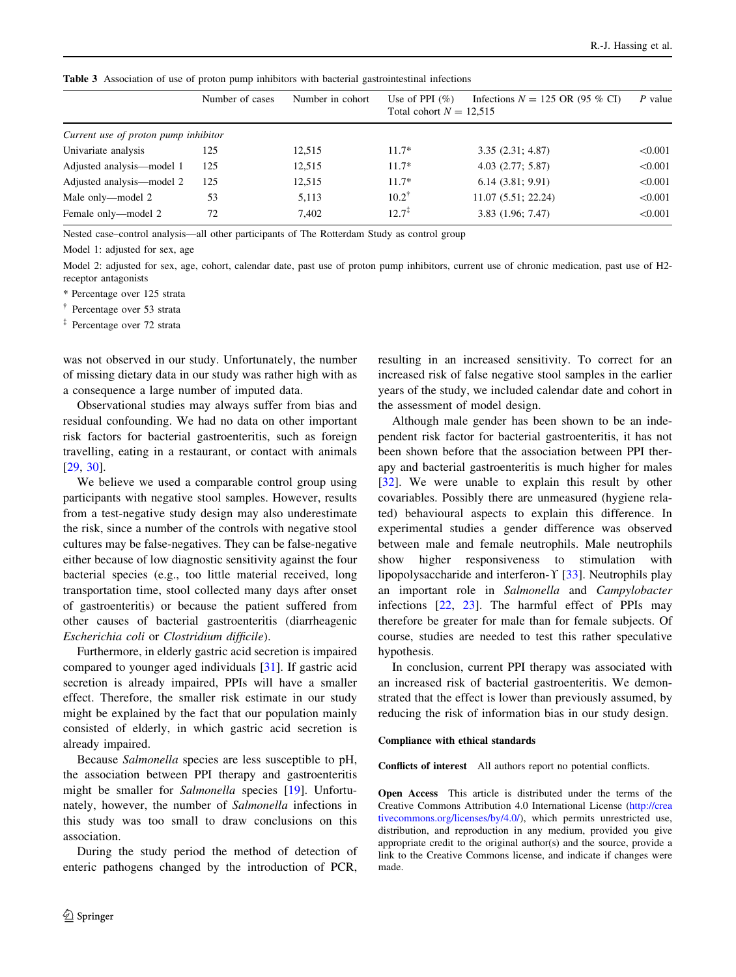<span id="page-5-0"></span>

|  |  |  |  |  |  |  |  |  | Table 3 Association of use of proton pump inhibitors with bacterial gastrointestinal infections |  |
|--|--|--|--|--|--|--|--|--|-------------------------------------------------------------------------------------------------|--|
|--|--|--|--|--|--|--|--|--|-------------------------------------------------------------------------------------------------|--|

|                                      | Number of cases | Number in cohort | Use of PPI $(\% )$<br>Total cohort $N = 12,515$ | Infections $N = 125$ OR (95 % CI) | $P$ value |
|--------------------------------------|-----------------|------------------|-------------------------------------------------|-----------------------------------|-----------|
| Current use of proton pump inhibitor |                 |                  |                                                 |                                   |           |
| Univariate analysis                  | 125             | 12,515           | $11.7*$                                         | 3.35(2.31; 4.87)                  | < 0.001   |
| Adjusted analysis—model 1            | 125             | 12,515           | $11.7*$                                         | 4.03(2.77; 5.87)                  | < 0.001   |
| Adjusted analysis—model 2            | 125             | 12,515           | $11.7*$                                         | 6.14(3.81; 9.91)                  | < 0.001   |
| Male only—model 2                    | 53              | 5.113            | $10.2^{\dagger}$                                | 11.07(5.51; 22.24)                | < 0.001   |
| Female only—model 2                  | 72              | 7.402            | $12.7^{\ddagger}$                               | 3.83(1.96; 7.47)                  | < 0.001   |

Nested case–control analysis—all other participants of The Rotterdam Study as control group

Model 1: adjusted for sex, age

Model 2: adjusted for sex, age, cohort, calendar date, past use of proton pump inhibitors, current use of chronic medication, past use of H2 receptor antagonists

\* Percentage over 125 strata

Percentage over 53 strata

- Percentage over 72 strata

was not observed in our study. Unfortunately, the number of missing dietary data in our study was rather high with as a consequence a large number of imputed data.

Observational studies may always suffer from bias and residual confounding. We had no data on other important risk factors for bacterial gastroenteritis, such as foreign travelling, eating in a restaurant, or contact with animals [\[29](#page-6-0), [30](#page-6-0)].

We believe we used a comparable control group using participants with negative stool samples. However, results from a test-negative study design may also underestimate the risk, since a number of the controls with negative stool cultures may be false-negatives. They can be false-negative either because of low diagnostic sensitivity against the four bacterial species (e.g., too little material received, long transportation time, stool collected many days after onset of gastroenteritis) or because the patient suffered from other causes of bacterial gastroenteritis (diarrheagenic Escherichia coli or Clostridium difficile).

Furthermore, in elderly gastric acid secretion is impaired compared to younger aged individuals [[31\]](#page-6-0). If gastric acid secretion is already impaired, PPIs will have a smaller effect. Therefore, the smaller risk estimate in our study might be explained by the fact that our population mainly consisted of elderly, in which gastric acid secretion is already impaired.

Because Salmonella species are less susceptible to pH, the association between PPI therapy and gastroenteritis might be smaller for Salmonella species [\[19](#page-6-0)]. Unfortunately, however, the number of Salmonella infections in this study was too small to draw conclusions on this association.

During the study period the method of detection of enteric pathogens changed by the introduction of PCR, resulting in an increased sensitivity. To correct for an increased risk of false negative stool samples in the earlier years of the study, we included calendar date and cohort in the assessment of model design.

Although male gender has been shown to be an independent risk factor for bacterial gastroenteritis, it has not been shown before that the association between PPI therapy and bacterial gastroenteritis is much higher for males [\[32](#page-6-0)]. We were unable to explain this result by other covariables. Possibly there are unmeasured (hygiene related) behavioural aspects to explain this difference. In experimental studies a gender difference was observed between male and female neutrophils. Male neutrophils show higher responsiveness to stimulation with lipopolysaccharide and interferon- $\Upsilon$  [\[33](#page-6-0)]. Neutrophils play an important role in Salmonella and Campylobacter infections [[22,](#page-6-0) [23\]](#page-6-0). The harmful effect of PPIs may therefore be greater for male than for female subjects. Of course, studies are needed to test this rather speculative hypothesis.

In conclusion, current PPI therapy was associated with an increased risk of bacterial gastroenteritis. We demonstrated that the effect is lower than previously assumed, by reducing the risk of information bias in our study design.

#### Compliance with ethical standards

Conflicts of interest All authors report no potential conflicts.

Open Access This article is distributed under the terms of the Creative Commons Attribution 4.0 International License ([http://crea](http://creativecommons.org/licenses/by/4.0/) [tivecommons.org/licenses/by/4.0/\)](http://creativecommons.org/licenses/by/4.0/), which permits unrestricted use, distribution, and reproduction in any medium, provided you give appropriate credit to the original author(s) and the source, provide a link to the Creative Commons license, and indicate if changes were made.